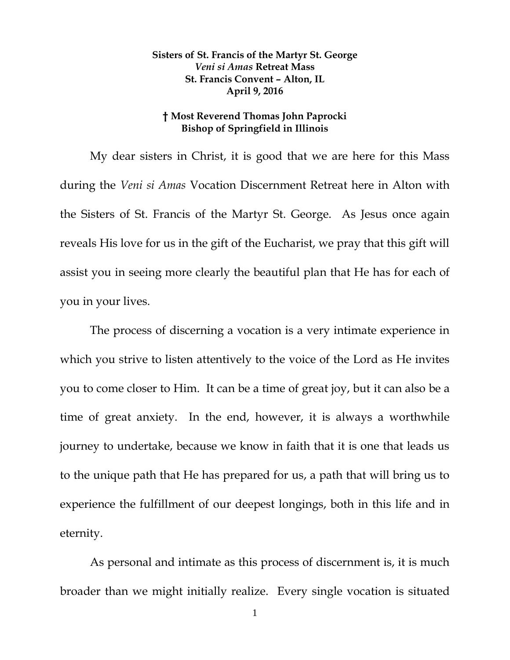## **Sisters of St. Francis of the Martyr St. George** *Veni si Amas* **Retreat Mass St. Francis Convent – Alton, IL April 9, 2016**

## **† Most Reverend Thomas John Paprocki Bishop of Springfield in Illinois**

My dear sisters in Christ, it is good that we are here for this Mass during the *Veni si Amas* Vocation Discernment Retreat here in Alton with the Sisters of St. Francis of the Martyr St. George. As Jesus once again reveals His love for us in the gift of the Eucharist, we pray that this gift will assist you in seeing more clearly the beautiful plan that He has for each of you in your lives.

The process of discerning a vocation is a very intimate experience in which you strive to listen attentively to the voice of the Lord as He invites you to come closer to Him. It can be a time of great joy, but it can also be a time of great anxiety. In the end, however, it is always a worthwhile journey to undertake, because we know in faith that it is one that leads us to the unique path that He has prepared for us, a path that will bring us to experience the fulfillment of our deepest longings, both in this life and in eternity.

As personal and intimate as this process of discernment is, it is much broader than we might initially realize. Every single vocation is situated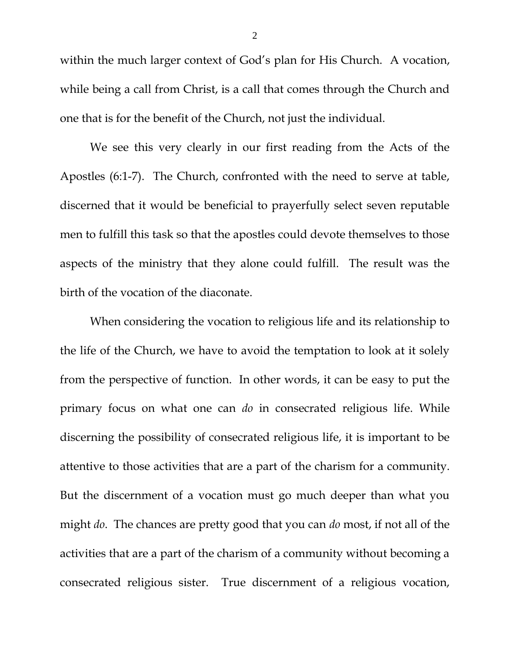within the much larger context of God's plan for His Church. A vocation, while being a call from Christ, is a call that comes through the Church and one that is for the benefit of the Church, not just the individual.

We see this very clearly in our first reading from the Acts of the Apostles (6:1-7). The Church, confronted with the need to serve at table, discerned that it would be beneficial to prayerfully select seven reputable men to fulfill this task so that the apostles could devote themselves to those aspects of the ministry that they alone could fulfill. The result was the birth of the vocation of the diaconate.

When considering the vocation to religious life and its relationship to the life of the Church, we have to avoid the temptation to look at it solely from the perspective of function. In other words, it can be easy to put the primary focus on what one can *do* in consecrated religious life. While discerning the possibility of consecrated religious life, it is important to be attentive to those activities that are a part of the charism for a community. But the discernment of a vocation must go much deeper than what you might *do*. The chances are pretty good that you can *do* most, if not all of the activities that are a part of the charism of a community without becoming a consecrated religious sister. True discernment of a religious vocation,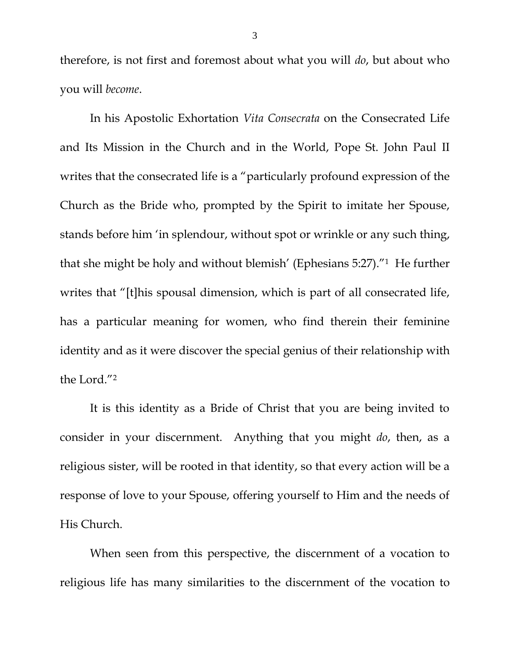therefore, is not first and foremost about what you will *do*, but about who you will *become*.

In his Apostolic Exhortation *Vita Consecrata* on the Consecrated Life and Its Mission in the Church and in the World, Pope St. John Paul II writes that the consecrated life is a "particularly profound expression of the Church as the Bride who, prompted by the Spirit to imitate her Spouse, stands before him 'in splendour, without spot or wrinkle or any such thing, that she might be holy and without blemish' (Ephesians 5:27)."<sup>1</sup> He further writes that "[t]his spousal dimension, which is part of all consecrated life, has a particular meaning for women, who find therein their feminine identity and as it were discover the special genius of their relationship with the Lord."<sup>2</sup>

It is this identity as a Bride of Christ that you are being invited to consider in your discernment. Anything that you might *do*, then, as a religious sister, will be rooted in that identity, so that every action will be a response of love to your Spouse, offering yourself to Him and the needs of His Church.

When seen from this perspective, the discernment of a vocation to religious life has many similarities to the discernment of the vocation to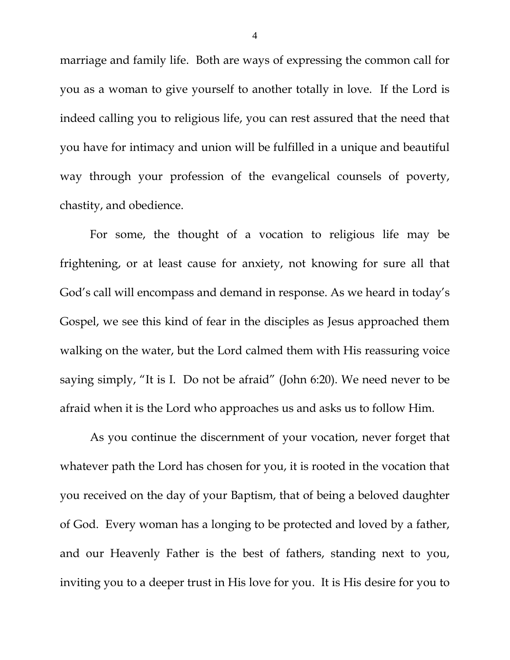marriage and family life. Both are ways of expressing the common call for you as a woman to give yourself to another totally in love. If the Lord is indeed calling you to religious life, you can rest assured that the need that you have for intimacy and union will be fulfilled in a unique and beautiful way through your profession of the evangelical counsels of poverty, chastity, and obedience.

For some, the thought of a vocation to religious life may be frightening, or at least cause for anxiety, not knowing for sure all that God's call will encompass and demand in response. As we heard in today's Gospel, we see this kind of fear in the disciples as Jesus approached them walking on the water, but the Lord calmed them with His reassuring voice saying simply, "It is I. Do not be afraid" (John 6:20). We need never to be afraid when it is the Lord who approaches us and asks us to follow Him.

As you continue the discernment of your vocation, never forget that whatever path the Lord has chosen for you, it is rooted in the vocation that you received on the day of your Baptism, that of being a beloved daughter of God. Every woman has a longing to be protected and loved by a father, and our Heavenly Father is the best of fathers, standing next to you, inviting you to a deeper trust in His love for you. It is His desire for you to